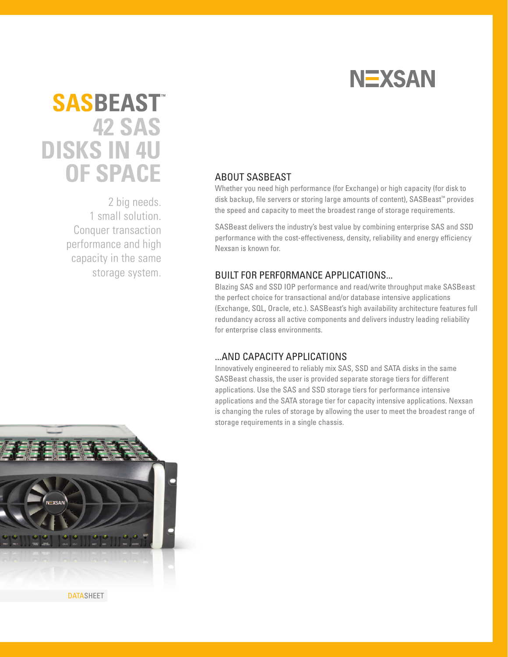

# **42 SAS DISKS IN 4U OF SPACE SASBEAST™**

2 big needs. 1 small solution. Conquer transaction performance and high capacity in the same storage system.

## ABOUT SASBEAST

Whether you need high performance (for Exchange) or high capacity (for disk to disk backup, file servers or storing large amounts of content), SASBeast™ provides the speed and capacity to meet the broadest range of storage requirements.

SASBeast delivers the industry's best value by combining enterprise SAS and SSD performance with the cost-effectiveness, density, reliability and energy efficiency Nexsan is known for.

### BUILT FOR PERFORMANCE APPLICATIONS...

Blazing SAS and SSD IOP performance and read/write throughput make SASBeast the perfect choice for transactional and/or database intensive applications (Exchange, SQL, Oracle, etc.). SASBeast's high availability architecture features full redundancy across all active components and delivers industry leading reliability for enterprise class environments.

### ...AND CAPACITY APPLICATIONS

Innovatively engineered to reliably mix SAS, SSD and SATA disks in the same SASBeast chassis, the user is provided separate storage tiers for different applications. Use the SAS and SSD storage tiers for performance intensive applications and the SATA storage tier for capacity intensive applications. Nexsan is changing the rules of storage by allowing the user to meet the broadest range of storage requirements in a single chassis.